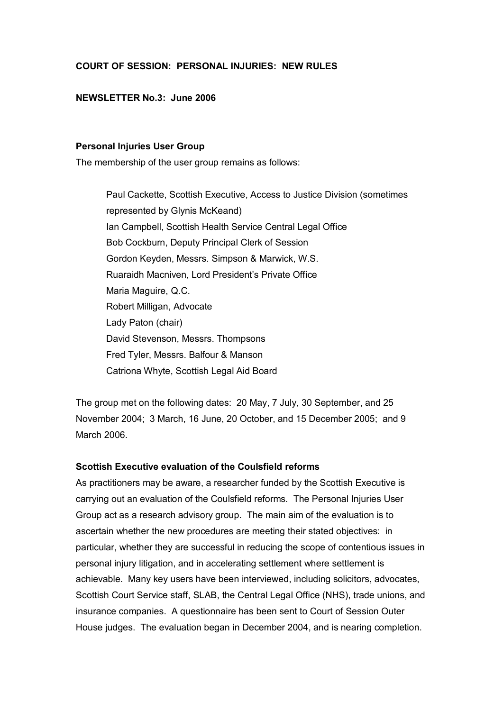## **COURT OF SESSION: PERSONAL INJURIES: NEW RULES**

## **NEWSLETTER No.3: June 2006**

## **Personal Injuries User Group**

The membership of the user group remains as follows:

Paul Cackette, Scottish Executive, Access to Justice Division (sometimes represented by Glynis McKeand) Ian Campbell, Scottish Health Service Central Legal Office Bob Cockburn, Deputy Principal Clerk of Session Gordon Keyden, Messrs. Simpson & Marwick, W.S. Ruaraidh Macniven, Lord President's Private Office Maria Maguire, Q.C. Robert Milligan, Advocate Lady Paton (chair) David Stevenson, Messrs. Thompsons Fred Tyler, Messrs. Balfour & Manson Catriona Whyte, Scottish Legal Aid Board

The group met on the following dates: 20 May, 7 July, 30 September, and 25 November 2004; 3 March, 16 June, 20 October, and 15 December 2005; and 9 March 2006.

# **Scottish Executive evaluation of the Coulsfield reforms**

As practitioners may be aware, a researcher funded by the Scottish Executive is carrying out an evaluation of the Coulsfield reforms. The Personal Injuries User Group act as a research advisory group. The main aim of the evaluation is to ascertain whether the new procedures are meeting their stated objectives: in particular, whether they are successful in reducing the scope of contentious issues in personal injury litigation, and in accelerating settlement where settlement is achievable. Many key users have been interviewed, including solicitors, advocates, Scottish Court Service staff, SLAB, the Central Legal Office (NHS), trade unions, and insurance companies. A questionnaire has been sent to Court of Session Outer House judges. The evaluation began in December 2004, and is nearing completion.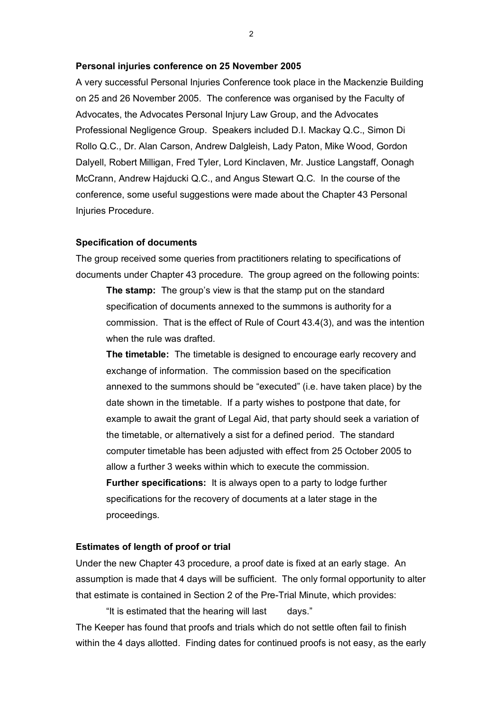#### **Personal injuries conference on 25 November 2005**

A very successful Personal Injuries Conference took place in the Mackenzie Building on 25 and 26 November 2005. The conference was organised by the Faculty of Advocates, the Advocates Personal Injury Law Group, and the Advocates Professional Negligence Group. Speakers included D.I. Mackay Q.C., Simon Di Rollo Q.C., Dr. Alan Carson, Andrew Dalgleish, Lady Paton, Mike Wood, Gordon Dalyell, Robert Milligan, Fred Tyler, Lord Kinclaven, Mr. Justice Langstaff, Oonagh McCrann, Andrew Hajducki Q.C., and Angus Stewart Q.C. In the course of the conference, some useful suggestions were made about the Chapter 43 Personal Injuries Procedure.

#### **Specification of documents**

The group received some queries from practitioners relating to specifications of documents under Chapter 43 procedure. The group agreed on the following points:

**The stamp:** The group's view is that the stamp put on the standard specification of documents annexed to the summons is authority for a commission. That is the effect of Rule of Court 43.4(3), and was the intention when the rule was drafted.

**The timetable:** The timetable is designed to encourage early recovery and exchange of information. The commission based on the specification annexed to the summons should be "executed" (i.e. have taken place) by the date shown in the timetable. If a party wishes to postpone that date, for example to await the grant of Legal Aid, that party should seek a variation of the timetable, or alternatively a sist for a defined period. The standard computer timetable has been adjusted with effect from 25 October 2005 to allow a further 3 weeks within which to execute the commission. **Further specifications:** It is always open to a party to lodge further specifications for the recovery of documents at a later stage in the proceedings.

### **Estimates of length of proof or trial**

Under the new Chapter 43 procedure, a proof date is fixed at an early stage. An assumption is made that 4 days will be sufficient. The only formal opportunity to alter that estimate is contained in Section 2 of the Pre-Trial Minute, which provides:

"It is estimated that the hearing will last days." The Keeper has found that proofs and trials which do not settle often fail to finish within the 4 days allotted. Finding dates for continued proofs is not easy, as the early

2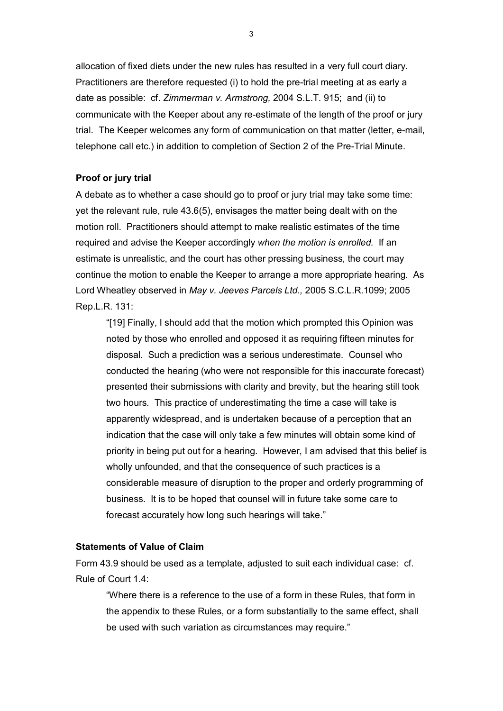allocation of fixed diets under the new rules has resulted in a very full court diary. Practitioners are therefore requested (i) to hold the pre-trial meeting at as early a date as possible: cf. *Zimmerman v. Armstrong,* 2004 S.L.T. 915; and (ii) to communicate with the Keeper about any re-estimate of the length of the proof or jury trial. The Keeper welcomes any form of communication on that matter (letter, e-mail, telephone call etc.) in addition to completion of Section 2 of the Pre-Trial Minute.

## **Proof or jury trial**

A debate as to whether a case should go to proof or jury trial may take some time: yet the relevant rule, rule 43.6(5), envisages the matter being dealt with on the motion roll. Practitioners should attempt to make realistic estimates of the time required and advise the Keeper accordingly *when the motion is enrolled.* If an estimate is unrealistic, and the court has other pressing business, the court may continue the motion to enable the Keeper to arrange a more appropriate hearing. As Lord Wheatley observed in *May v. Jeeves Parcels Ltd.,* 2005 S.C.L.R.1099; 2005 Rep.L.R. 131:

"[19] Finally, I should add that the motion which prompted this Opinion was noted by those who enrolled and opposed it as requiring fifteen minutes for disposal. Such a prediction was a serious underestimate. Counsel who conducted the hearing (who were not responsible for this inaccurate forecast) presented their submissions with clarity and brevity, but the hearing still took two hours. This practice of underestimating the time a case will take is apparently widespread, and is undertaken because of a perception that an indication that the case will only take a few minutes will obtain some kind of priority in being put out for a hearing. However, I am advised that this belief is wholly unfounded, and that the consequence of such practices is a considerable measure of disruption to the proper and orderly programming of business. It is to be hoped that counsel will in future take some care to forecast accurately how long such hearings will take."

## **Statements of Value of Claim**

Form 43.9 should be used as a template, adjusted to suit each individual case: cf. Rule of Court 1.4:

"Where there is a reference to the use of a form in these Rules, that form in the appendix to these Rules, or a form substantially to the same effect, shall be used with such variation as circumstances may require."

3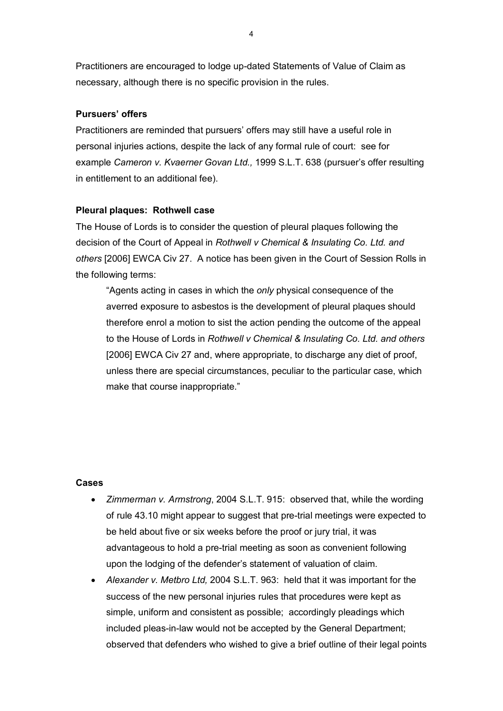Practitioners are encouraged to lodge up-dated Statements of Value of Claim as necessary, although there is no specific provision in the rules.

## **Pursuers' offers**

Practitioners are reminded that pursuers' offers may still have a useful role in personal injuries actions, despite the lack of any formal rule of court: see for example *Cameron v. Kvaerner Govan Ltd.,* 1999 S.L.T. 638 (pursuer's offer resulting in entitlement to an additional fee).

## **Pleural plaques: Rothwell case**

The House of Lords is to consider the question of pleural plaques following the decision of the Court of Appeal in *Rothwell v Chemical & Insulating Co. Ltd. and others* [2006] EWCA Civ 27. A notice has been given in the Court of Session Rolls in the following terms:

"Agents acting in cases in which the *only* physical consequence of the averred exposure to asbestos is the development of pleural plaques should therefore enrol a motion to sist the action pending the outcome of the appeal to the House of Lords in *Rothwell v Chemical & Insulating Co. Ltd. and others* [2006] EWCA Civ 27 and, where appropriate, to discharge any diet of proof, unless there are special circumstances, peculiar to the particular case, which make that course inappropriate."

### **Cases**

- · *Zimmerman v. Armstrong*, 2004 S.L.T. 915: observed that, while the wording of rule 43.10 might appear to suggest that pre-trial meetings were expected to be held about five or six weeks before the proof or jury trial, it was advantageous to hold a pre-trial meeting as soon as convenient following upon the lodging of the defender's statement of valuation of claim.
- · *Alexander v. Metbro Ltd,* 2004 S.L.T. 963: held that it was important for the success of the new personal injuries rules that procedures were kept as simple, uniform and consistent as possible; accordingly pleadings which included pleas-in-law would not be accepted by the General Department; observed that defenders who wished to give a brief outline of their legal points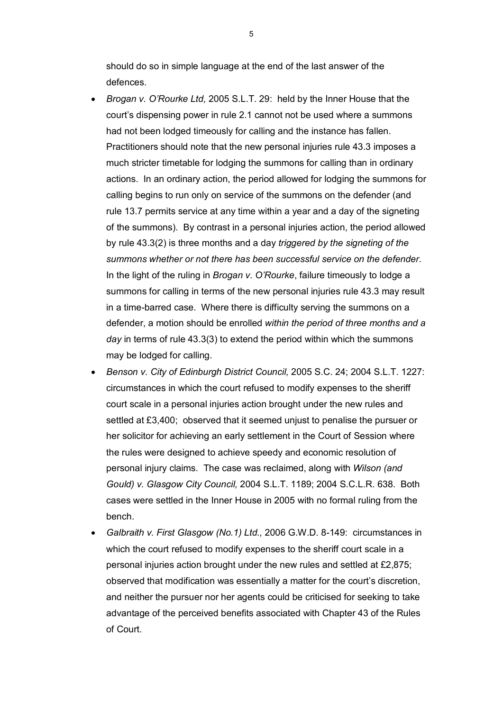should do so in simple language at the end of the last answer of the defences.

- · *Brogan v. O'Rourke Ltd,* 2005 S.L.T. 29: held by the Inner House that the court's dispensing power in rule 2.1 cannot not be used where a summons had not been lodged timeously for calling and the instance has fallen. Practitioners should note that the new personal injuries rule 43.3 imposes a much stricter timetable for lodging the summons for calling than in ordinary actions. In an ordinary action, the period allowed for lodging the summons for calling begins to run only on service of the summons on the defender (and rule 13.7 permits service at any time within a year and a day of the signeting of the summons). By contrast in a personal injuries action, the period allowed by rule 43.3(2) is three months and a day *triggered by the signeting of the summons whether or not there has been successful service on the defender*. In the light of the ruling in *Brogan v. O'Rourke*, failure timeously to lodge a summons for calling in terms of the new personal injuries rule 43.3 may result in a time-barred case. Where there is difficulty serving the summons on a defender, a motion should be enrolled *within the period of three months and a day* in terms of rule 43.3(3) to extend the period within which the summons may be lodged for calling.
- · *Benson v. City of Edinburgh District Council,* 2005 S.C. 24; 2004 S.L.T. 1227: circumstances in which the court refused to modify expenses to the sheriff court scale in a personal injuries action brought under the new rules and settled at £3,400; observed that it seemed unjust to penalise the pursuer or her solicitor for achieving an early settlement in the Court of Session where the rules were designed to achieve speedy and economic resolution of personal injury claims. The case was reclaimed, along with *Wilson (and Gould) v. Glasgow City Council,* 2004 S.L.T. 1189; 2004 S.C.L.R. 638. Both cases were settled in the Inner House in 2005 with no formal ruling from the bench.
- · *Galbraith v. First Glasgow (No.1) Ltd.,* 2006 G.W.D. 8149: circumstances in which the court refused to modify expenses to the sheriff court scale in a personal injuries action brought under the new rules and settled at £2,875; observed that modification was essentially a matter for the court's discretion, and neither the pursuer nor her agents could be criticised for seeking to take advantage of the perceived benefits associated with Chapter 43 of the Rules of Court.

5